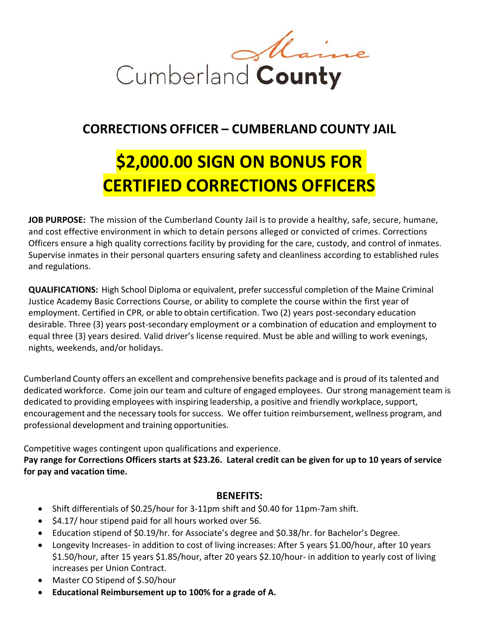

## **CORRECTIONS OFFICER – CUMBERLAND COUNTY JAIL**

## **\$2,000.00 SIGN ON BONUS FOR CERTIFIED CORRECTIONS OFFICERS**

**JOB PURPOSE:** The mission of the Cumberland County Jail is to provide a healthy, safe, secure, humane, and cost effective environment in which to detain persons alleged or convicted of crimes. Corrections Officers ensure a high quality corrections facility by providing for the care, custody, and control of inmates. Supervise inmates in their personal quarters ensuring safety and cleanliness according to established rules and regulations.

**QUALIFICATIONS:** High School Diploma or equivalent, prefer successful completion of the Maine Criminal Justice Academy Basic Corrections Course, or ability to complete the course within the first year of employment. Certified in CPR, or able to obtain certification. Two (2) years post-secondary education desirable. Three (3) years post‐secondary employment or a combination of education and employment to equal three (3) years desired. Valid driver's license required. Must be able and willing to work evenings, nights, weekends, and/or holidays.

Cumberland County offers an excellent and comprehensive benefits package and is proud of its talented and dedicated workforce. Come join our team and culture of engaged employees. Our strong management team is dedicated to providing employees with inspiring leadership, a positive and friendly workplace, support, encouragement and the necessary tools for success. We offer tuition reimbursement, wellness program, and professional development and training opportunities.

Competitive wages contingent upon qualifications and experience.

**Pay range for Corrections Officers starts at \$23.26. Lateral credit can be given for up to 10 years of service for pay and vacation time.**

## **BENEFITS:**

- Shift differentials of \$0.25/hour for 3‐11pm shift and \$0.40 for 11pm‐7am shift.
- $\bullet$  \$4.17/ hour stipend paid for all hours worked over 56.
- Education stipend of \$0.19/hr. for Associate's degree and \$0.38/hr. for Bachelor's Degree.
- Longevity Increases‐ in addition to cost of living increases: After 5 years \$1.00/hour, after 10 years \$1.50/hour, after 15 years \$1.85/hour, after 20 years \$2.10/hour‐ in addition to yearly cost of living increases per Union Contract.
- Master CO Stipend of \$.50/hour
- **Educational Reimbursement up to 100% for a grade of A.**